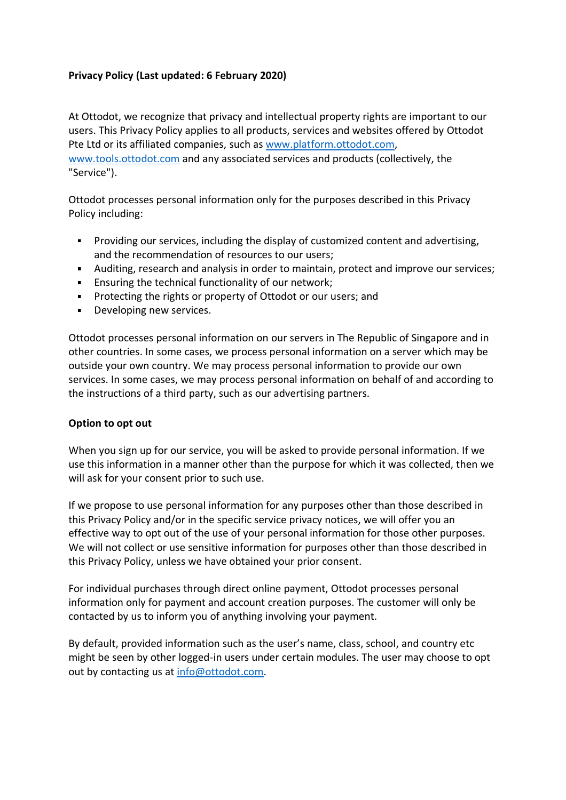# **Privacy Policy (Last updated: 6 February 2020)**

At Ottodot, we recognize that privacy and intellectual property rights are important to our users. This Privacy Policy applies to all products, services and websites offered by Ottodot Pte Ltd or its affiliated companies, such as [www.platform.ottodot.com,](http://www.platform.ottodot.com/)

[www.tools.ottodot.com](http://www.tools.ottodot.com/) and any associated services and products (collectively, the "Service").

Ottodot processes personal information only for the purposes described in this Privacy Policy including:

- Providing our services, including the display of customized content and advertising, and the recommendation of resources to our users;
- Auditing, research and analysis in order to maintain, protect and improve our services;
- **Ensuring the technical functionality of our network;**
- **Protecting the rights or property of Ottodot or our users; and**
- **Developing new services.**

Ottodot processes personal information on our servers in The Republic of Singapore and in other countries. In some cases, we process personal information on a server which may be outside your own country. We may process personal information to provide our own services. In some cases, we may process personal information on behalf of and according to the instructions of a third party, such as our advertising partners.

### **Option to opt out**

When you sign up for our service, you will be asked to provide personal information. If we use this information in a manner other than the purpose for which it was collected, then we will ask for your consent prior to such use.

If we propose to use personal information for any purposes other than those described in this Privacy Policy and/or in the specific service privacy notices, we will offer you an effective way to opt out of the use of your personal information for those other purposes. We will not collect or use sensitive information for purposes other than those described in this Privacy Policy, unless we have obtained your prior consent.

For individual purchases through direct online payment, Ottodot processes personal information only for payment and account creation purposes. The customer will only be contacted by us to inform you of anything involving your payment.

By default, provided information such as the user's name, class, school, and country etc might be seen by other logged-in users under certain modules. The user may choose to opt out by contacting us at [info@ottodot.com.](mailto:info@ottodot.com)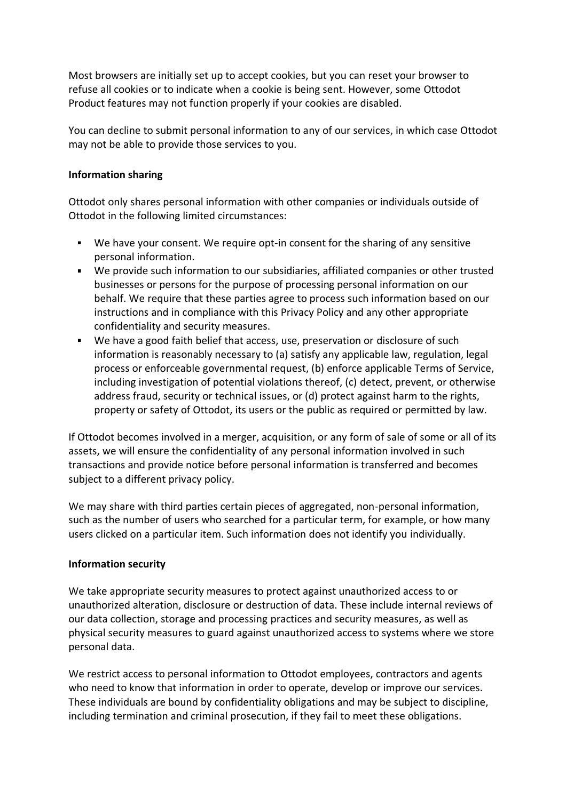Most browsers are initially set up to accept cookies, but you can reset your browser to refuse all cookies or to indicate when a cookie is being sent. However, some Ottodot Product features may not function properly if your cookies are disabled.

You can decline to submit personal information to any of our services, in which case Ottodot may not be able to provide those services to you.

### **Information sharing**

Ottodot only shares personal information with other companies or individuals outside of Ottodot in the following limited circumstances:

- We have your consent. We require opt-in consent for the sharing of any sensitive personal information.
- We provide such information to our subsidiaries, affiliated companies or other trusted businesses or persons for the purpose of processing personal information on our behalf. We require that these parties agree to process such information based on our instructions and in compliance with this Privacy Policy and any other appropriate confidentiality and security measures.
- We have a good faith belief that access, use, preservation or disclosure of such information is reasonably necessary to (a) satisfy any applicable law, regulation, legal process or enforceable governmental request, (b) enforce applicable Terms of Service, including investigation of potential violations thereof, (c) detect, prevent, or otherwise address fraud, security or technical issues, or (d) protect against harm to the rights, property or safety of Ottodot, its users or the public as required or permitted by law.

If Ottodot becomes involved in a merger, acquisition, or any form of sale of some or all of its assets, we will ensure the confidentiality of any personal information involved in such transactions and provide notice before personal information is transferred and becomes subject to a different privacy policy.

We may share with third parties certain pieces of aggregated, non-personal information, such as the number of users who searched for a particular term, for example, or how many users clicked on a particular item. Such information does not identify you individually.

### **Information security**

We take appropriate security measures to protect against unauthorized access to or unauthorized alteration, disclosure or destruction of data. These include internal reviews of our data collection, storage and processing practices and security measures, as well as physical security measures to guard against unauthorized access to systems where we store personal data.

We restrict access to personal information to Ottodot employees, contractors and agents who need to know that information in order to operate, develop or improve our services. These individuals are bound by confidentiality obligations and may be subject to discipline, including termination and criminal prosecution, if they fail to meet these obligations.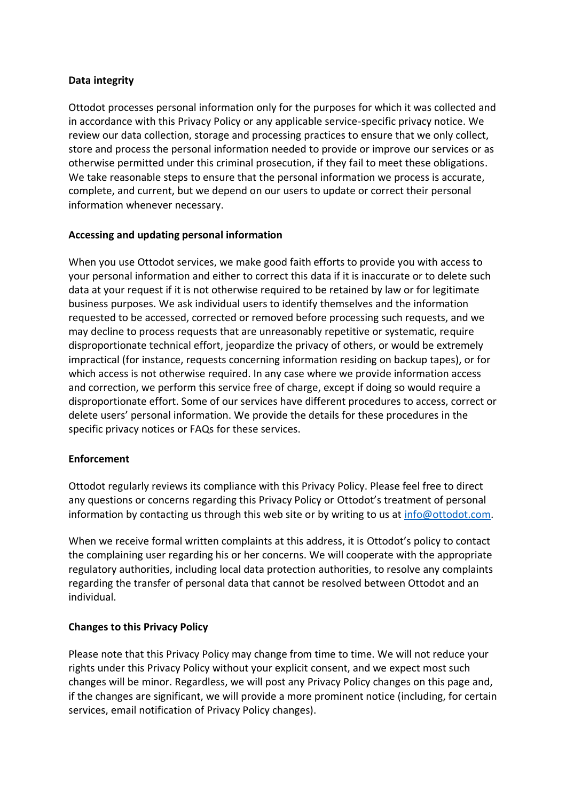### **Data integrity**

Ottodot processes personal information only for the purposes for which it was collected and in accordance with this Privacy Policy or any applicable service-specific privacy notice. We review our data collection, storage and processing practices to ensure that we only collect, store and process the personal information needed to provide or improve our services or as otherwise permitted under this criminal prosecution, if they fail to meet these obligations. We take reasonable steps to ensure that the personal information we process is accurate, complete, and current, but we depend on our users to update or correct their personal information whenever necessary.

### **Accessing and updating personal information**

When you use Ottodot services, we make good faith efforts to provide you with access to your personal information and either to correct this data if it is inaccurate or to delete such data at your request if it is not otherwise required to be retained by law or for legitimate business purposes. We ask individual users to identify themselves and the information requested to be accessed, corrected or removed before processing such requests, and we may decline to process requests that are unreasonably repetitive or systematic, require disproportionate technical effort, jeopardize the privacy of others, or would be extremely impractical (for instance, requests concerning information residing on backup tapes), or for which access is not otherwise required. In any case where we provide information access and correction, we perform this service free of charge, except if doing so would require a disproportionate effort. Some of our services have different procedures to access, correct or delete users' personal information. We provide the details for these procedures in the specific privacy notices or FAQs for these services.

# **Enforcement**

Ottodot regularly reviews its compliance with this Privacy Policy. Please feel free to direct any questions or concerns regarding this Privacy Policy or Ottodot's treatment of personal information by contacting us through this web site or by writing to us at [info@ottodot.com.](mailto:info@ottodot.com)

When we receive formal written complaints at this address, it is Ottodot's policy to contact the complaining user regarding his or her concerns. We will cooperate with the appropriate regulatory authorities, including local data protection authorities, to resolve any complaints regarding the transfer of personal data that cannot be resolved between Ottodot and an individual.

# **Changes to this Privacy Policy**

Please note that this Privacy Policy may change from time to time. We will not reduce your rights under this Privacy Policy without your explicit consent, and we expect most such changes will be minor. Regardless, we will post any Privacy Policy changes on this page and, if the changes are significant, we will provide a more prominent notice (including, for certain services, email notification of Privacy Policy changes).